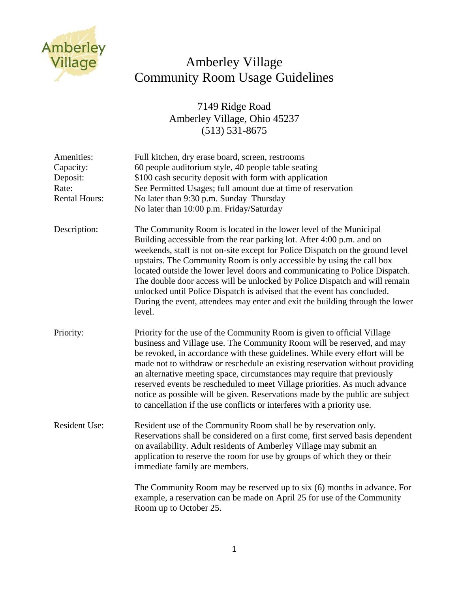

## Amberley Village Community Room Usage Guidelines

7149 Ridge Road Amberley Village, Ohio 45237 (513) 531-8675

| Amenities:<br>Capacity:<br>Deposit:<br>Rate:<br><b>Rental Hours:</b> | Full kitchen, dry erase board, screen, restrooms<br>60 people auditorium style, 40 people table seating<br>\$100 cash security deposit with form with application<br>See Permitted Usages; full amount due at time of reservation<br>No later than 9:30 p.m. Sunday–Thursday<br>No later than 10:00 p.m. Friday/Saturday                                                                                                                                                                                                                                                                                                                |
|----------------------------------------------------------------------|-----------------------------------------------------------------------------------------------------------------------------------------------------------------------------------------------------------------------------------------------------------------------------------------------------------------------------------------------------------------------------------------------------------------------------------------------------------------------------------------------------------------------------------------------------------------------------------------------------------------------------------------|
| Description:                                                         | The Community Room is located in the lower level of the Municipal<br>Building accessible from the rear parking lot. After 4:00 p.m. and on<br>weekends, staff is not on-site except for Police Dispatch on the ground level<br>upstairs. The Community Room is only accessible by using the call box<br>located outside the lower level doors and communicating to Police Dispatch.<br>The double door access will be unlocked by Police Dispatch and will remain<br>unlocked until Police Dispatch is advised that the event has concluded.<br>During the event, attendees may enter and exit the building through the lower<br>level. |
| Priority:                                                            | Priority for the use of the Community Room is given to official Village<br>business and Village use. The Community Room will be reserved, and may<br>be revoked, in accordance with these guidelines. While every effort will be<br>made not to withdraw or reschedule an existing reservation without providing<br>an alternative meeting space, circumstances may require that previously<br>reserved events be rescheduled to meet Village priorities. As much advance<br>notice as possible will be given. Reservations made by the public are subject<br>to cancellation if the use conflicts or interferes with a priority use.   |
| <b>Resident Use:</b>                                                 | Resident use of the Community Room shall be by reservation only.<br>Reservations shall be considered on a first come, first served basis dependent<br>on availability. Adult residents of Amberley Village may submit an<br>application to reserve the room for use by groups of which they or their<br>immediate family are members.                                                                                                                                                                                                                                                                                                   |
|                                                                      | The Community Room may be reserved up to six (6) months in advance. For<br>example, a reservation can be made on April 25 for use of the Community<br>Room up to October 25.                                                                                                                                                                                                                                                                                                                                                                                                                                                            |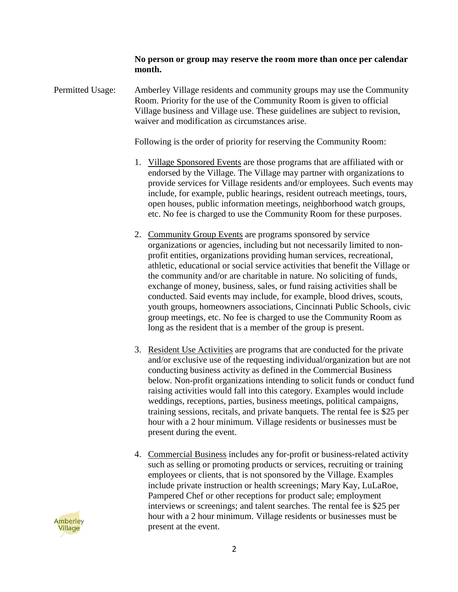**No person or group may reserve the room more than once per calendar month.** 

Permitted Usage: Amberley Village residents and community groups may use the Community Room. Priority for the use of the Community Room is given to official Village business and Village use. These guidelines are subject to revision, waiver and modification as circumstances arise.

Following is the order of priority for reserving the Community Room:

- 1. Village Sponsored Events are those programs that are affiliated with or endorsed by the Village. The Village may partner with organizations to provide services for Village residents and/or employees. Such events may include, for example, public hearings, resident outreach meetings, tours, open houses, public information meetings, neighborhood watch groups, etc. No fee is charged to use the Community Room for these purposes.
- 2. Community Group Events are programs sponsored by service organizations or agencies, including but not necessarily limited to nonprofit entities, organizations providing human services, recreational, athletic, educational or social service activities that benefit the Village or the community and/or are charitable in nature. No soliciting of funds, exchange of money, business, sales, or fund raising activities shall be conducted. Said events may include, for example, blood drives, scouts, youth groups, homeowners associations, Cincinnati Public Schools, civic group meetings, etc. No fee is charged to use the Community Room as long as the resident that is a member of the group is present.
- 3. Resident Use Activities are programs that are conducted for the private and/or exclusive use of the requesting individual/organization but are not conducting business activity as defined in the Commercial Business below. Non-profit organizations intending to solicit funds or conduct fund raising activities would fall into this category. Examples would include weddings, receptions, parties, business meetings, political campaigns, training sessions, recitals, and private banquets. The rental fee is \$25 per hour with a 2 hour minimum. Village residents or businesses must be present during the event.
- 4. Commercial Business includes any for-profit or business-related activity such as selling or promoting products or services, recruiting or training employees or clients, that is not sponsored by the Village. Examples include private instruction or health screenings; Mary Kay, LuLaRoe, Pampered Chef or other receptions for product sale; employment interviews or screenings; and talent searches. The rental fee is \$25 per hour with a 2 hour minimum. Village residents or businesses must be present at the event.

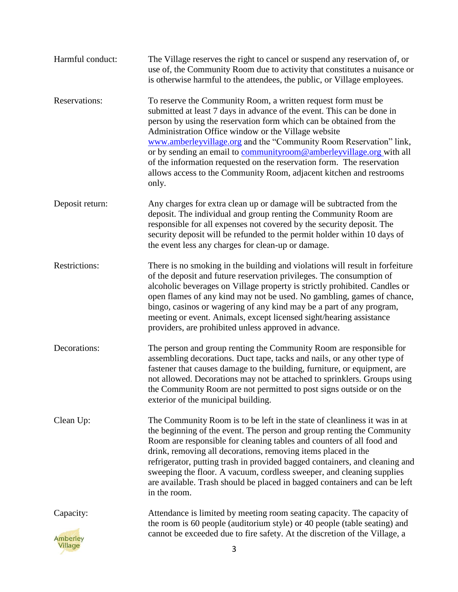| Harmful conduct:                        | The Village reserves the right to cancel or suspend any reservation of, or<br>use of, the Community Room due to activity that constitutes a nuisance or<br>is otherwise harmful to the attendees, the public, or Village employees.                                                                                                                                                                                                                                                                                                                                          |
|-----------------------------------------|------------------------------------------------------------------------------------------------------------------------------------------------------------------------------------------------------------------------------------------------------------------------------------------------------------------------------------------------------------------------------------------------------------------------------------------------------------------------------------------------------------------------------------------------------------------------------|
| <b>Reservations:</b>                    | To reserve the Community Room, a written request form must be<br>submitted at least 7 days in advance of the event. This can be done in<br>person by using the reservation form which can be obtained from the<br>Administration Office window or the Village website<br>www.amberleyvillage.org and the "Community Room Reservation" link,<br>or by sending an email to communityroom@amberleyvillage.org with all<br>of the information requested on the reservation form. The reservation<br>allows access to the Community Room, adjacent kitchen and restrooms<br>only. |
| Deposit return:                         | Any charges for extra clean up or damage will be subtracted from the<br>deposit. The individual and group renting the Community Room are<br>responsible for all expenses not covered by the security deposit. The<br>security deposit will be refunded to the permit holder within 10 days of<br>the event less any charges for clean-up or damage.                                                                                                                                                                                                                          |
| <b>Restrictions:</b>                    | There is no smoking in the building and violations will result in forfeiture<br>of the deposit and future reservation privileges. The consumption of<br>alcoholic beverages on Village property is strictly prohibited. Candles or<br>open flames of any kind may not be used. No gambling, games of chance,<br>bingo, casinos or wagering of any kind may be a part of any program,<br>meeting or event. Animals, except licensed sight/hearing assistance<br>providers, are prohibited unless approved in advance.                                                         |
| Decorations:                            | The person and group renting the Community Room are responsible for<br>assembling decorations. Duct tape, tacks and nails, or any other type of<br>fastener that causes damage to the building, furniture, or equipment, are<br>not allowed. Decorations may not be attached to sprinklers. Groups using<br>the Community Room are not permitted to post signs outside or on the<br>exterior of the municipal building.                                                                                                                                                      |
| Clean Up:                               | The Community Room is to be left in the state of cleanliness it was in at<br>the beginning of the event. The person and group renting the Community<br>Room are responsible for cleaning tables and counters of all food and<br>drink, removing all decorations, removing items placed in the<br>refrigerator, putting trash in provided bagged containers, and cleaning and<br>sweeping the floor. A vacuum, cordless sweeper, and cleaning supplies<br>are available. Trash should be placed in bagged containers and can be left<br>in the room.                          |
| Capacity:<br><b>Amberley</b><br>Village | Attendance is limited by meeting room seating capacity. The capacity of<br>the room is 60 people (auditorium style) or 40 people (table seating) and<br>cannot be exceeded due to fire safety. At the discretion of the Village, a<br>3                                                                                                                                                                                                                                                                                                                                      |